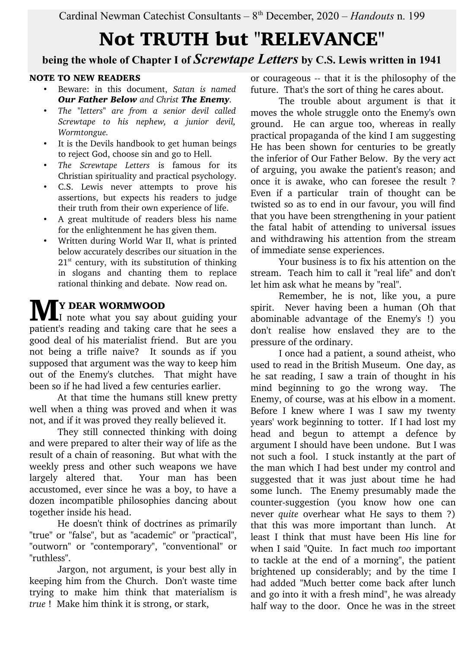# Not TRUTH but "RELEVANCE"

**being the whole of Chapter I of** *Screwtape Letters* **by C.S. Lewis written in 1941**

### NOTE TO NEW READERS

- Beware: in this document, *Satan is named Our Father Below and Christ The Enemy.*
- *The "letters" are from a senior devil called Screwtape to his nephew, a junior devil, Wormtongue.*
- It is the Devils handbook to get human beings to reject God, choose sin and go to Hell.
- *The Screwtape Letters* is famous for its Christian spirituality and practical psychology.
- C.S. Lewis never attempts to prove his assertions, but expects his readers to judge their truth from their own experience of life.
- A great multitude of readers bless his name for the enlightenment he has given them.
- Written during World War II, what is printed below accurately describes our situation in the  $21<sup>st</sup>$  century, with its substitution of thinking in slogans and chanting them to replace rational thinking and debate. Now read on.

### Y DEAR WORMWOOD

**IMEX DEAR WORMWOOD**<br>Inote what you say about guiding your patient's reading and taking care that he sees a good deal of his materialist friend. But are you not being a trifle naive? It sounds as if you supposed that argument was the way to keep him out of the Enemy's clutches. That might have been so if he had lived a few centuries earlier.

At that time the humans still knew pretty well when a thing was proved and when it was not, and if it was proved they really believed it.

They still connected thinking with doing and were prepared to alter their way of life as the result of a chain of reasoning. But what with the weekly press and other such weapons we have largely altered that. Your man has been accustomed, ever since he was a boy, to have a dozen incompatible philosophies dancing about together inside his head.

He doesn't think of doctrines as primarily "true" or "false", but as "academic" or "practical", "outworn" or "contemporary", "conventional" or "ruthless".

Jargon, not argument, is your best ally in keeping him from the Church. Don't waste time trying to make him think that materialism is *true* ! Make him think it is strong, or stark,

or courageous -- that it is the philosophy of the future. That's the sort of thing he cares about.

The trouble about argument is that it moves the whole struggle onto the Enemy's own ground. He can argue too, whereas in really practical propaganda of the kind I am suggesting He has been shown for centuries to be greatly the inferior of Our Father Below. By the very act of arguing, you awake the patient's reason; and once it is awake, who can foresee the result ? Even if a particular train of thought can be twisted so as to end in our favour, you will find that you have been strengthening in your patient the fatal habit of attending to universal issues and withdrawing his attention from the stream of immediate sense experiences.

Your business is to fix his attention on the stream. Teach him to call it "real life" and don't let him ask what he means by "real".

Remember, he is not, like you, a pure spirit. Never having been a human (Oh that abominable advantage of the Enemy's !) you don't realise how enslaved they are to the pressure of the ordinary.

I once had a patient, a sound atheist, who used to read in the British Museum. One day, as he sat reading, I saw a train of thought in his mind beginning to go the wrong way. The Enemy, of course, was at his elbow in a moment. Before I knew where I was I saw my twenty years' work beginning to totter. If I had lost my head and begun to attempt a defence by argument I should have been undone. But I was not such a fool. I stuck instantly at the part of the man which I had best under my control and suggested that it was just about time he had some lunch. The Enemy presumably made the counter-suggestion (you know how one can never *quite* overhear what He says to them ?) that this was more important than lunch. At least I think that must have been His line for when I said "Quite. In fact much *too* important to tackle at the end of a morning", the patient brightened up considerably; and by the time I had added "Much better come back after lunch and go into it with a fresh mind", he was already half way to the door. Once he was in the street